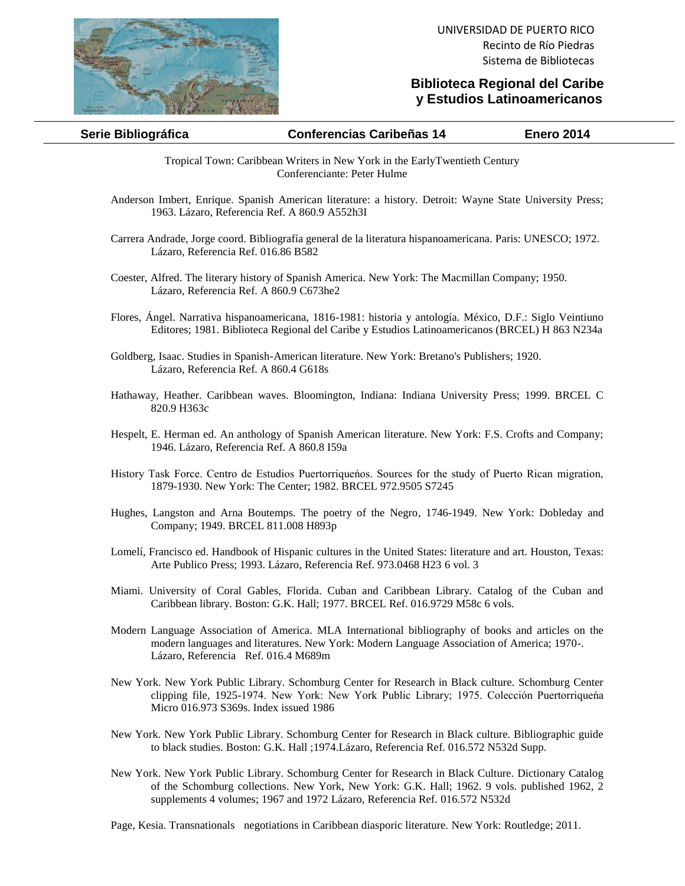

## **Biblioteca Regional del Caribe y Estudios Latinoamericanos**

| Serie Bibliográfica | <b>Conferencias Caribeñas 14</b> | <b>Enero 2014</b> |
|---------------------|----------------------------------|-------------------|

Tropical Town: Caribbean Writers in New York in the EarlyTwentieth Century Conferenciante: Peter Hulme

- Anderson Imbert, Enrique. Spanish American literature: a history. Detroit: Wayne State University Press; 1963. Lázaro, Referencia Ref. A 860.9 A552h3I
- Carrera Andrade, Jorge coord. Bibliografía general de la literatura hispanoamericana. Paris: UNESCO; 1972. Lázaro, Referencia Ref. 016.86 B582
- Coester, Alfred. The literary history of Spanish America. New York: The Macmillan Company; 1950. Lázaro, Referencia Ref. A 860.9 C673he2
- Flores, Ángel. Narrativa hispanoamericana, 1816-1981: historia y antología. México, D.F.: Siglo Veintiuno Editores; 1981. Biblioteca Regional del Caribe y Estudios Latinoamericanos (BRCEL) H 863 N234a
- Goldberg, Isaac. Studies in Spanish-American literature. New York: Bretano's Publishers; 1920. Lázaro, Referencia Ref. A 860.4 G618s
- Hathaway, Heather. Caribbean waves. Bloomington, Indiana: Indiana University Press; 1999. BRCEL C 820.9 H363c
- Hespelt, E. Herman ed. An anthology of Spanish American literature. New York: F.S. Crofts and Company; 1946. Lázaro, Referencia Ref. A 860.8 I59a
- History Task Force. Centro de Estudios Puertorriqueńos. Sources for the study of Puerto Rican migration, 1879-1930. New York: The Center; 1982. BRCEL 972.9505 S7245
- Hughes, Langston and Arna Boutemps. The poetry of the Negro, 1746-1949. New York: Dobleday and Company; 1949. BRCEL 811.008 H893p
- Lomelí, Francisco ed. Handbook of Hispanic cultures in the United States: literature and art. Houston, Texas: Arte Publico Press; 1993. Lázaro, Referencia Ref. 973.0468 H23 6 vol. 3
- Miami. University of Coral Gables, Florida. Cuban and Caribbean Library. Catalog of the Cuban and Caribbean library. Boston: G.K. Hall; 1977. BRCEL Ref. 016.9729 M58c 6 vols.
- Modern Language Association of America. MLA International bibliography of books and articles on the modern languages and literatures. New York: Modern Language Association of America; 1970-. Lázaro, Referencia Ref. 016.4 M689m
- New York. New York Public Library. Schomburg Center for Research in Black culture. Schomburg Center clipping file, 1925-1974. New York: New York Public Library; 1975. Colección Puertorriqueńa Micro 016.973 S369s. Index issued 1986
- New York. New York Public Library. Schomburg Center for Research in Black culture. Bibliographic guide to black studies. Boston: G.K. Hall ;1974.Lázaro, Referencia Ref. 016.572 N532d Supp.
- New York. New York Public Library. Schomburg Center for Research in Black Culture. Dictionary Catalog of the Schomburg collections. New York, New York: G.K. Hall; 1962. 9 vols. published 1962, 2 supplements 4 volumes; 1967 and 1972 Lázaro, Referencia Ref. 016.572 N532d

Page, Kesia. Transnationals negotiations in Caribbean diasporic literature. New York: Routledge; 2011.